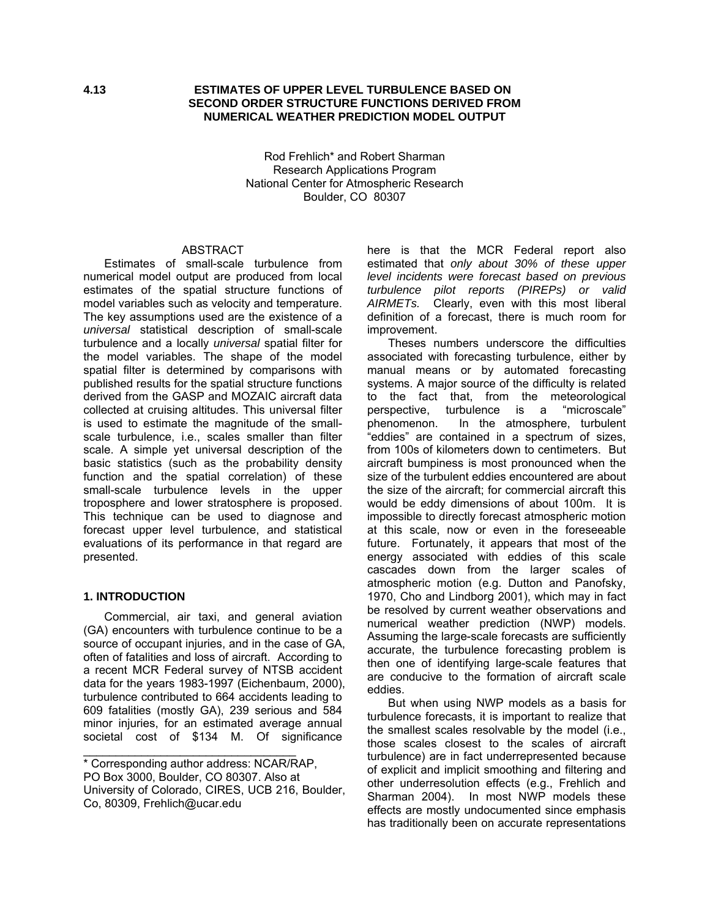#### **4.13 ESTIMATES OF UPPER LEVEL TURBULENCE BASED ON SECOND ORDER STRUCTURE FUNCTIONS DERIVED FROM NUMERICAL WEATHER PREDICTION MODEL OUTPUT**

Rod Frehlich\* and Robert Sharman Research Applications Program National Center for Atmospheric Research Boulder, CO 80307

## **ABSTRACT**

Estimates of small-scale turbulence from numerical model output are produced from local estimates of the spatial structure functions of model variables such as velocity and temperature. The key assumptions used are the existence of a *universal* statistical description of small-scale turbulence and a locally *universal* spatial filter for the model variables. The shape of the model spatial filter is determined by comparisons with published results for the spatial structure functions derived from the GASP and MOZAIC aircraft data collected at cruising altitudes. This universal filter is used to estimate the magnitude of the smallscale turbulence, i.e., scales smaller than filter scale. A simple yet universal description of the basic statistics (such as the probability density function and the spatial correlation) of these small-scale turbulence levels in the upper troposphere and lower stratosphere is proposed. This technique can be used to diagnose and forecast upper level turbulence, and statistical evaluations of its performance in that regard are presented.

#### **1. INTRODUCTION**

Commercial, air taxi, and general aviation (GA) encounters with turbulence continue to be a source of occupant injuries, and in the case of GA, often of fatalities and loss of aircraft. According to a recent MCR Federal survey of NTSB accident data for the years 1983-1997 (Eichenbaum, 2000), turbulence contributed to 664 accidents leading to 609 fatalities (mostly GA), 239 serious and 584 minor injuries, for an estimated average annual societal cost of \$134 M. Of significance

\_\_\_\_\_\_\_\_\_\_\_\_\_\_\_\_\_\_\_\_\_\_\_\_\_\_\_\_\_\_\_\_\_

here is that the MCR Federal report also estimated that *only about 30% of these upper level incidents were forecast based on previous turbulence pilot reports (PIREPs) or valid AIRMETs.* Clearly, even with this most liberal definition of a forecast, there is much room for improvement.

Theses numbers underscore the difficulties associated with forecasting turbulence, either by manual means or by automated forecasting systems. A major source of the difficulty is related to the fact that, from the meteorological perspective, turbulence is a "microscale" phenomenon. In the atmosphere, turbulent "eddies" are contained in a spectrum of sizes, from 100s of kilometers down to centimeters. But aircraft bumpiness is most pronounced when the size of the turbulent eddies encountered are about the size of the aircraft; for commercial aircraft this would be eddy dimensions of about 100m. It is impossible to directly forecast atmospheric motion at this scale, now or even in the foreseeable future. Fortunately, it appears that most of the energy associated with eddies of this scale cascades down from the larger scales of atmospheric motion (e.g. Dutton and Panofsky, 1970, Cho and Lindborg 2001), which may in fact be resolved by current weather observations and numerical weather prediction (NWP) models. Assuming the large-scale forecasts are sufficiently accurate, the turbulence forecasting problem is then one of identifying large-scale features that are conducive to the formation of aircraft scale eddies.

But when using NWP models as a basis for turbulence forecasts, it is important to realize that the smallest scales resolvable by the model (i.e., those scales closest to the scales of aircraft turbulence) are in fact underrepresented because of explicit and implicit smoothing and filtering and other underresolution effects (e.g., Frehlich and Sharman 2004). In most NWP models these effects are mostly undocumented since emphasis has traditionally been on accurate representations

<sup>\*</sup> Corresponding author address: NCAR/RAP, PO Box 3000, Boulder, CO 80307. Also at University of Colorado, CIRES, UCB 216, Boulder, Co, 80309, Frehlich@ucar.edu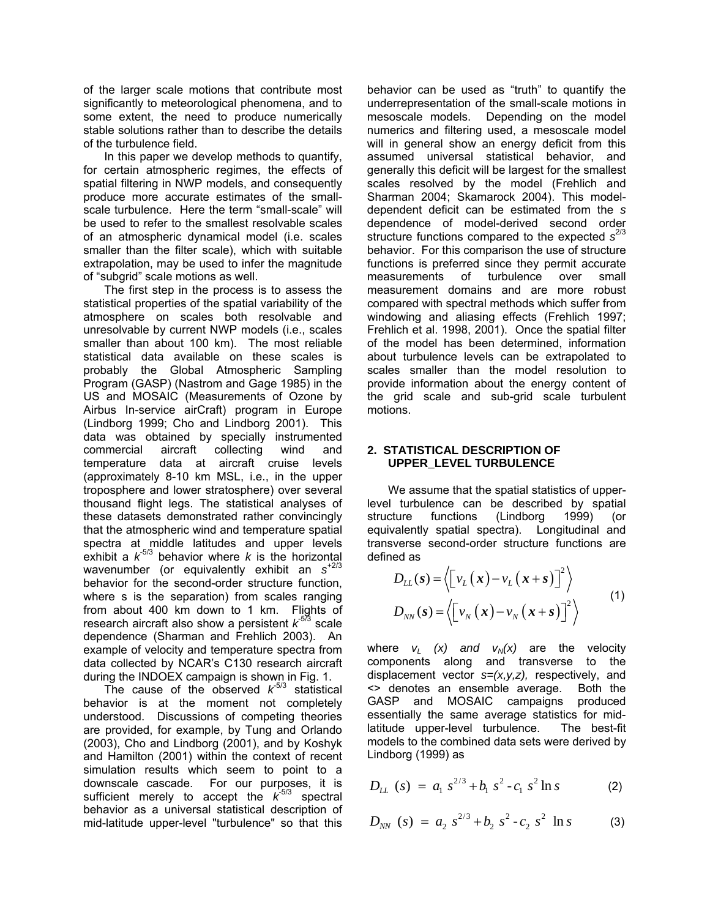of the larger scale motions that contribute most significantly to meteorological phenomena, and to some extent, the need to produce numerically stable solutions rather than to describe the details of the turbulence field.

In this paper we develop methods to quantify, for certain atmospheric regimes, the effects of spatial filtering in NWP models, and consequently produce more accurate estimates of the smallscale turbulence. Here the term "small-scale" will be used to refer to the smallest resolvable scales of an atmospheric dynamical model (i.e. scales smaller than the filter scale), which with suitable extrapolation, may be used to infer the magnitude of "subgrid" scale motions as well.

The first step in the process is to assess the statistical properties of the spatial variability of the atmosphere on scales both resolvable and unresolvable by current NWP models (i.e., scales smaller than about 100 km). The most reliable statistical data available on these scales is probably the Global Atmospheric Sampling Program (GASP) (Nastrom and Gage 1985) in the US and MOSAIC (Measurements of Ozone by Airbus In-service airCraft) program in Europe (Lindborg 1999; Cho and Lindborg 2001). This data was obtained by specially instrumented commercial aircraft collecting wind and temperature data at aircraft cruise levels (approximately 8-10 km MSL, i.e., in the upper troposphere and lower stratosphere) over several thousand flight legs. The statistical analyses of these datasets demonstrated rather convincingly that the atmospheric wind and temperature spatial spectra at middle latitudes and upper levels exhibit a  $k^{-5/3}$  behavior where *k* is the horizontal wavenumber (or equivalently exhibit an *s*+2/3 behavior for the second-order structure function, where s is the separation) from scales ranging from about 400 km down to 1 km. Flights of research aircraft also show a persistent  $k^{5/3}$  scale dependence (Sharman and Frehlich 2003). An example of velocity and temperature spectra from data collected by NCAR's C130 research aircraft during the INDOEX campaign is shown in Fig. 1.

The cause of the observed  $k<sup>5/3</sup>$  statistical behavior is at the moment not completely understood. Discussions of competing theories are provided, for example, by Tung and Orlando (2003), Cho and Lindborg (2001), and by Koshyk and Hamilton (2001) within the context of recent simulation results which seem to point to a downscale cascade. For our purposes, it is sufficient merely to accept the  $k^{5/3}$  spectral behavior as a universal statistical description of mid-latitude upper-level "turbulence" so that this behavior can be used as "truth" to quantify the underrepresentation of the small-scale motions in mesoscale models. Depending on the model numerics and filtering used, a mesoscale model will in general show an energy deficit from this assumed universal statistical behavior, and generally this deficit will be largest for the smallest scales resolved by the model (Frehlich and Sharman 2004; Skamarock 2004). This modeldependent deficit can be estimated from the *s*  dependence of model-derived second order structure functions compared to the expected *s* 2/3 behavior. For this comparison the use of structure functions is preferred since they permit accurate measurements of turbulence over small measurement domains and are more robust compared with spectral methods which suffer from windowing and aliasing effects (Frehlich 1997; Frehlich et al. 1998, 2001). Once the spatial filter of the model has been determined, information about turbulence levels can be extrapolated to scales smaller than the model resolution to provide information about the energy content of the grid scale and sub-grid scale turbulent motions.

#### **2. STATISTICAL DESCRIPTION OF UPPER\_LEVEL TURBULENCE**

We assume that the spatial statistics of upperlevel turbulence can be described by spatial structure functions (Lindborg 1999) (or equivalently spatial spectra). Longitudinal and transverse second-order structure functions are defined as

$$
D_{LL}(s) = \left\langle \left[ v_L(x) - v_L(x+s) \right]^2 \right\rangle
$$
  
\n
$$
D_{NN}(s) = \left\langle \left[ v_N(x) - v_N(x+s) \right]^2 \right\rangle
$$
 (1)

where  $v_L$   $(x)$  and  $v_N(x)$  are the velocity components along and transverse to the displacement vector *s=(x,y,z),* respectively, and <> denotes an ensemble average. Both the GASP and MOSAIC campaigns produced essentially the same average statistics for midlatitude upper-level turbulence. The best-fit models to the combined data sets were derived by Lindborg (1999) as

$$
D_{LL} (s) = a_1 s^{2/3} + b_1 s^2 - c_1 s^2 \ln s
$$
 (2)

$$
D_{NN} (s) = a_2 s^{2/3} + b_2 s^2 - c_2 s^2 \ln s
$$
 (3)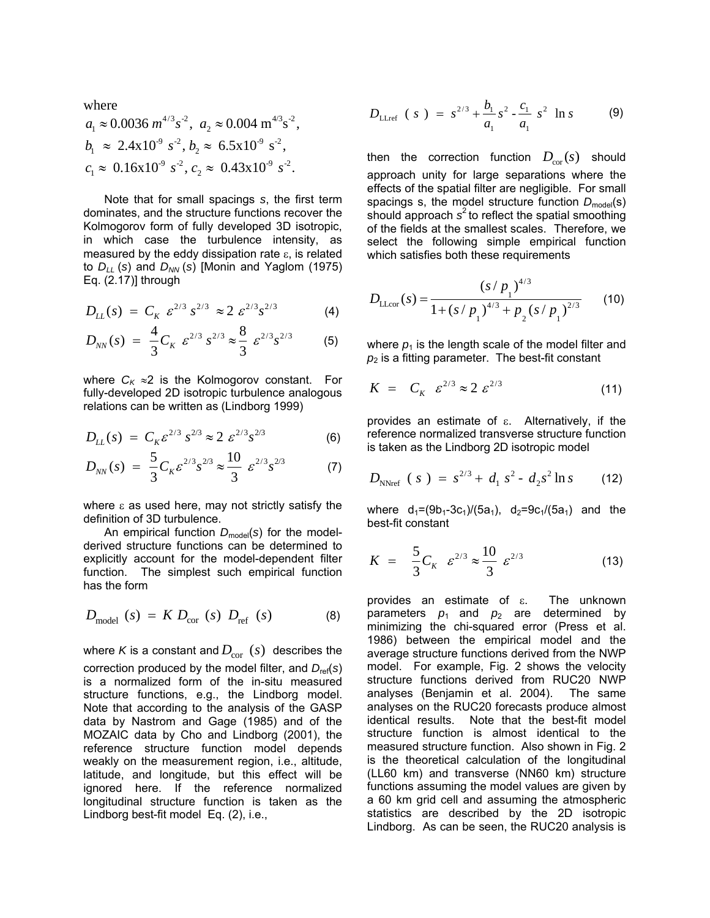where

$$
a_1 \approx 0.0036 \ m^{4/3} s^{-2}
$$
,  $a_2 \approx 0.004 \ m^{4/3} s^{-2}$ ,  
\n $b_1 \approx 2.4 \times 10^{-9} s^{-2}$ ,  $b_2 \approx 6.5 \times 10^{-9} s^{-2}$ ,  
\n $c_1 \approx 0.16 \times 10^{-9} s^{-2}$ ,  $c_2 \approx 0.43 \times 10^{-9} s^{-2}$ .

Note that for small spacings *s*, the first term dominates, and the structure functions recover the Kolmogorov form of fully developed 3D isotropic, in which case the turbulence intensity, as measured by the eddy dissipation rate  $\varepsilon$ , is related to  $D_{LL}$  (*s*) and  $D_{NN}$  (*s*) [Monin and Yaglom (1975) Eq.  $(2.17)$ ] through

$$
D_{LL}(s) = C_K \ \varepsilon^{2/3} \ s^{2/3} \approx 2 \ \varepsilon^{2/3} s^{2/3} \tag{4}
$$

$$
D_{NN}(s) = \frac{4}{3} C_K \ \varepsilon^{2/3} \ s^{2/3} \approx \frac{8}{3} \ \varepsilon^{2/3} s^{2/3} \tag{5}
$$

where  $C_K \approx 2$  is the Kolmogorov constant. For fully-developed 2D isotropic turbulence analogous relations can be written as (Lindborg 1999)

$$
D_{LL}(s) = C_K \varepsilon^{2/3} s^{2/3} \approx 2 \varepsilon^{2/3} s^{2/3}
$$
 (6)

$$
D_{NN}(s) = \frac{5}{3} C_K \varepsilon^{2/3} s^{2/3} \approx \frac{10}{3} \varepsilon^{2/3} s^{2/3}
$$
 (7)

where  $\epsilon$  as used here, may not strictly satisfy the definition of 3D turbulence.

An empirical function *D*model (*s*) for the modelderived structure functions can be determined to explicitly account for the model-dependent filter function. The simplest such empirical function has the form

$$
D_{\text{model}}(s) = K D_{\text{cor}}(s) D_{\text{ref}}(s) \tag{8}
$$

where *K* is a constant and  $D_{\text{cor}}(s)$  describes the correction produced by the model filter, and *D*ref(*s*) is a normalized form of the in-situ measured structure functions, e.g., the Lindborg model. Note that according to the analysis of the GASP data by Nastrom and Gage (1985) and of the MOZAIC data by Cho and Lindborg (2001), the reference structure function model depends weakly on the measurement region, i.e., altitude, latitude, and longitude, but this effect will be ignored here. If the reference normalized longitudinal structure function is taken as the Lindborg best-fit model Eq. (2), i.e.,

$$
D_{\text{LLref}} (s) = s^{2/3} + \frac{b_1}{a_1} s^2 - \frac{c_1}{a_1} s^2 \ln s
$$
 (9)

then the correction function  $D_{\rm cor}(s)$  should approach unity for large separations where the effects of the spatial filter are negligible. For small spacings s, the model structure function  $D_{model}(s)$ should approach  $s^2$  to reflect the spatial smoothing of the fields at the smallest scales. Therefore, we select the following simple empirical function which satisfies both these requirements

$$
D_{\text{LLoc}}(s) = \frac{(s/p_1)^{4/3}}{1 + (s/p_1)^{4/3} + p_2 (s/p_1)^{2/3}}
$$
 (10)

where  $p_1$  is the length scale of the model filter and  $p_2$  is a fitting parameter. The best-fit constant

$$
K = C_K \ \varepsilon^{2/3} \approx 2 \ \varepsilon^{2/3} \tag{11}
$$

provides an estimate of ε. Alternatively, if the reference normalized transverse structure function is taken as the Lindborg 2D isotropic model

$$
D_{\text{NNref}} (s) = s^{2/3} + d_1 s^2 - d_2 s^2 \ln s \qquad (12)
$$

where  $d_1=(9b_1-3c_1)/(5a_1)$ ,  $d_2=9c_1/(5a_1)$  and the best-fit constant

$$
K = \frac{5}{3} C_K \ \varepsilon^{2/3} \approx \frac{10}{3} \ \varepsilon^{2/3} \tag{13}
$$

provides an estimate of ε. The unknown parameters  $p_1$  and  $p_2$  are determined by minimizing the chi-squared error (Press et al. 1986) between the empirical model and the average structure functions derived from the NWP model. For example, Fig. 2 shows the velocity structure functions derived from RUC20 NWP analyses (Benjamin et al. 2004). The same analyses on the RUC20 forecasts produce almost identical results. Note that the best-fit model structure function is almost identical to the measured structure function. Also shown in Fig. 2 is the theoretical calculation of the longitudinal (LL60 km) and transverse (NN60 km) structure functions assuming the model values are given by a 60 km grid cell and assuming the atmospheric statistics are described by the 2D isotropic Lindborg. As can be seen, the RUC20 analysis is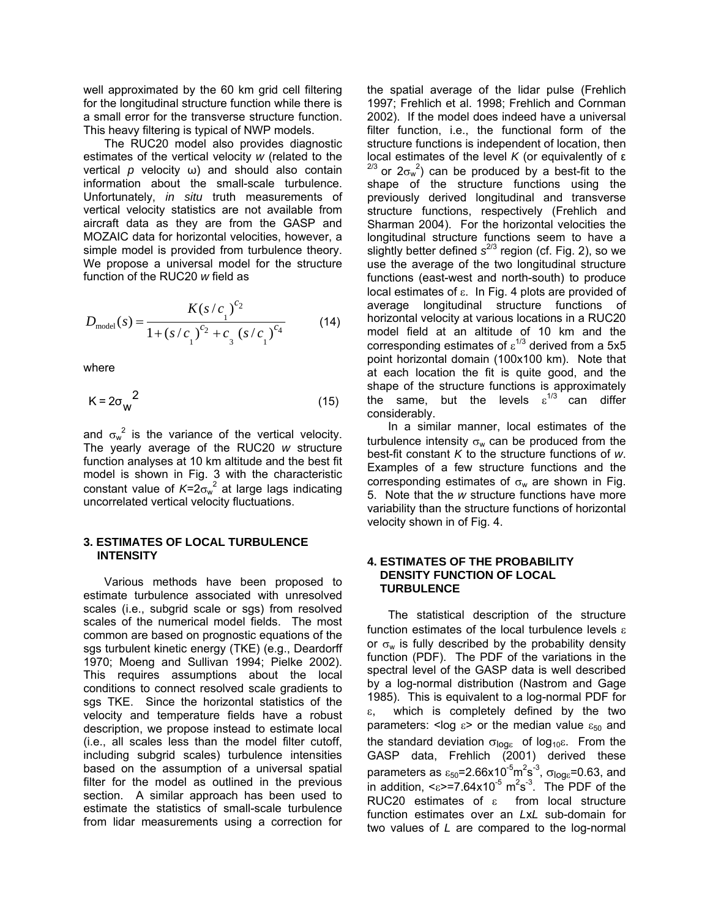well approximated by the 60 km grid cell filtering for the longitudinal structure function while there is a small error for the transverse structure function. This heavy filtering is typical of NWP models.

The RUC20 model also provides diagnostic estimates of the vertical velocity *w* (related to the vertical *p* velocity ω) and should also contain information about the small-scale turbulence. Unfortunately, *in situ* truth measurements of vertical velocity statistics are not available from aircraft data as they are from the GASP and MOZAIC data for horizontal velocities, however, a simple model is provided from turbulence theory. We propose a universal model for the structure function of the RUC20 *w* field as

$$
D_{\text{model}}(s) = \frac{K(s/c_1)^{c_2}}{1 + (s/c_1)^{c_2} + c_3 (s/c_1)^{c_4}}
$$
 (14)

where

$$
K = 2\sigma_{\rm w}^2 \tag{15}
$$

and  $\sigma_w^2$  is the variance of the vertical velocity. The yearly average of the RUC20 *w* structure function analyses at 10 km altitude and the best fit model is shown in Fig. 3 with the characteristic constant value of  $K = 2\sigma_w^2$  at large lags indicating uncorrelated vertical velocity fluctuations.

### **3. ESTIMATES OF LOCAL TURBULENCE INTENSITY**

Various methods have been proposed to estimate turbulence associated with unresolved scales (i.e., subgrid scale or sgs) from resolved scales of the numerical model fields. The most common are based on prognostic equations of the sgs turbulent kinetic energy (TKE) (e.g., Deardorff 1970; Moeng and Sullivan 1994; Pielke 2002). This requires assumptions about the local conditions to connect resolved scale gradients to sgs TKE. Since the horizontal statistics of the velocity and temperature fields have a robust description, we propose instead to estimate local (i.e., all scales less than the model filter cutoff, including subgrid scales) turbulence intensities based on the assumption of a universal spatial filter for the model as outlined in the previous section. A similar approach has been used to estimate the statistics of small-scale turbulence from lidar measurements using a correction for the spatial average of the lidar pulse (Frehlich 1997; Frehlich et al. 1998; Frehlich and Cornman 2002). If the model does indeed have a universal filter function, i.e., the functional form of the structure functions is independent of location, then local estimates of the level *K* (or equivalently of ε <sup>2/3</sup> or  $2\sigma_w^2$ ) can be produced by a best-fit to the shape of the structure functions using the previously derived longitudinal and transverse structure functions, respectively (Frehlich and Sharman 2004). For the horizontal velocities the longitudinal structure functions seem to have a slightly better defined s<sup>2/3</sup> region (cf. Fig. 2), so we use the average of the two longitudinal structure functions (east-west and north-south) to produce local estimates of ε. In Fig. 4 plots are provided of average longitudinal structure functions of horizontal velocity at various locations in a RUC20 model field at an altitude of 10 km and the corresponding estimates of  $\varepsilon^{1/3}$  derived from a 5x5 point horizontal domain (100x100 km). Note that at each location the fit is quite good, and the shape of the structure functions is approximately the same, but the levels  $\varepsilon^{1/3}$  can differ considerably.

In a similar manner, local estimates of the turbulence intensity  $\sigma_w$  can be produced from the best-fit constant *K* to the structure functions of *w*. Examples of a few structure functions and the corresponding estimates of  $\sigma_w$  are shown in Fig. 5. Note that the *w* structure functions have more variability than the structure functions of horizontal velocity shown in of Fig. 4.

#### **4. ESTIMATES OF THE PROBABILITY DENSITY FUNCTION OF LOCAL TURBULENCE**

The statistical description of the structure function estimates of the local turbulence levels ε or  $\sigma_w$  is fully described by the probability density function (PDF). The PDF of the variations in the spectral level of the GASP data is well described by a log-normal distribution (Nastrom and Gage 1985). This is equivalent to a log-normal PDF for which is completely defined by the two parameters: < log  $\varepsilon$  > or the median value  $\varepsilon_{50}$  and the standard deviation  $σ<sub>loqε</sub>$  of log<sub>10</sub>ε. From the GASP data, Frehlich (2001) derived these parameters as  $\varepsilon_{50}$ =2.66x10<sup>-5</sup>m<sup>2</sup>s<sup>-3</sup>,  $\sigma_{\text{logg}}$ =0.63, and in addition,  $\epsilon$  = 7.64x10<sup>-5</sup> m<sup>2</sup>s<sup>-3</sup>. The PDF of the RUC20 estimates of ε from local structure function estimates over an *L*x*L* sub-domain for two values of *L* are compared to the log-normal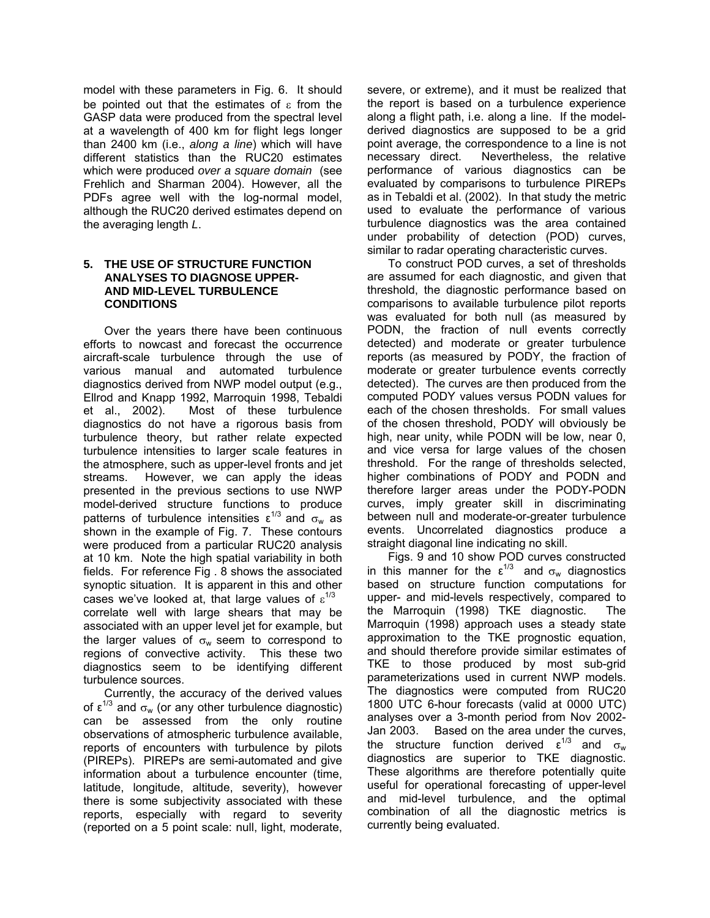model with these parameters in Fig. 6. It should be pointed out that the estimates of  $\epsilon$  from the GASP data were produced from the spectral level at a wavelength of 400 km for flight legs longer than 2400 km (i.e., *along a line*) which will have different statistics than the RUC20 estimates which were produced *over a square domain* (see Frehlich and Sharman 2004). However, all the PDFs agree well with the log-normal model, although the RUC20 derived estimates depend on the averaging length *L*.

## **5. THE USE OF STRUCTURE FUNCTION ANALYSES TO DIAGNOSE UPPER- AND MID-LEVEL TURBULENCE CONDITIONS**

Over the years there have been continuous efforts to nowcast and forecast the occurrence aircraft-scale turbulence through the use of various manual and automated turbulence diagnostics derived from NWP model output (e.g., Ellrod and Knapp 1992, Marroquin 1998, Tebaldi et al., 2002). Most of these turbulence diagnostics do not have a rigorous basis from turbulence theory, but rather relate expected turbulence intensities to larger scale features in the atmosphere, such as upper-level fronts and jet streams. However, we can apply the ideas presented in the previous sections to use NWP model-derived structure functions to produce patterns of turbulence intensities  $\varepsilon^{1/3}$  and  $\sigma_w$  as shown in the example of Fig. 7. These contours were produced from a particular RUC20 analysis at 10 km. Note the high spatial variability in both fields. For reference Fig . 8 shows the associated synoptic situation. It is apparent in this and other cases we've looked at, that large values of  $\varepsilon^{1/3}$ correlate well with large shears that may be associated with an upper level jet for example, but the larger values of  $\sigma_w$  seem to correspond to regions of convective activity. This these two diagnostics seem to be identifying different turbulence sources.

Currently, the accuracy of the derived values of  $\epsilon^{1/3}$  and  $\sigma_w$  (or any other turbulence diagnostic) can be assessed from the only routine observations of atmospheric turbulence available, reports of encounters with turbulence by pilots (PIREPs). PIREPs are semi-automated and give information about a turbulence encounter (time, latitude, longitude, altitude, severity), however there is some subjectivity associated with these reports, especially with regard to severity (reported on a 5 point scale: null, light, moderate, severe, or extreme), and it must be realized that the report is based on a turbulence experience along a flight path, i.e. along a line. If the modelderived diagnostics are supposed to be a grid point average, the correspondence to a line is not necessary direct. Nevertheless, the relative performance of various diagnostics can be evaluated by comparisons to turbulence PIREPs as in Tebaldi et al. (2002). In that study the metric used to evaluate the performance of various turbulence diagnostics was the area contained under probability of detection (POD) curves, similar to radar operating characteristic curves.

To construct POD curves, a set of thresholds are assumed for each diagnostic, and given that threshold, the diagnostic performance based on comparisons to available turbulence pilot reports was evaluated for both null (as measured by PODN, the fraction of null events correctly detected) and moderate or greater turbulence reports (as measured by PODY, the fraction of moderate or greater turbulence events correctly detected). The curves are then produced from the computed PODY values versus PODN values for each of the chosen thresholds. For small values of the chosen threshold, PODY will obviously be high, near unity, while PODN will be low, near 0, and vice versa for large values of the chosen threshold. For the range of thresholds selected, higher combinations of PODY and PODN and therefore larger areas under the PODY-PODN curves, imply greater skill in discriminating between null and moderate-or-greater turbulence events. Uncorrelated diagnostics produce a straight diagonal line indicating no skill.

Figs. 9 and 10 show POD curves constructed in this manner for the  $\varepsilon^{1/3}$  and  $\sigma_w$  diagnostics based on structure function computations for upper- and mid-levels respectively, compared to the Marroquin (1998) TKE diagnostic. The Marroquin (1998) approach uses a steady state approximation to the TKE prognostic equation, and should therefore provide similar estimates of TKE to those produced by most sub-grid parameterizations used in current NWP models. The diagnostics were computed from RUC20 1800 UTC 6-hour forecasts (valid at 0000 UTC) analyses over a 3-month period from Nov 2002- Jan 2003. Based on the area under the curves, the structure function derived  $\epsilon^{1/3}$  and  $\sigma_w$ diagnostics are superior to TKE diagnostic. These algorithms are therefore potentially quite useful for operational forecasting of upper-level and mid-level turbulence, and the optimal combination of all the diagnostic metrics is currently being evaluated.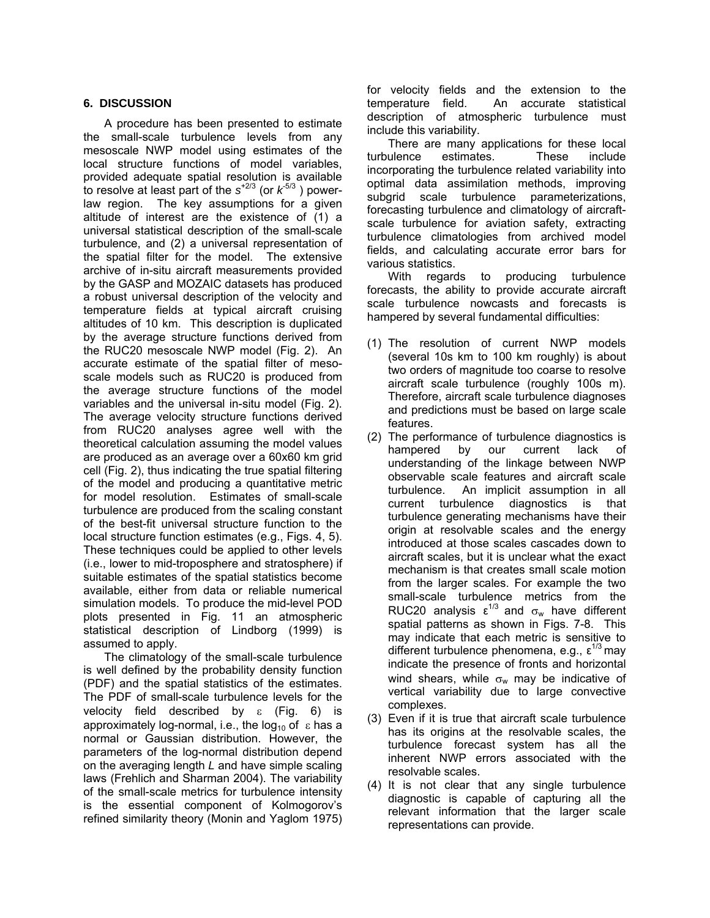# **6. DISCUSSION**

A procedure has been presented to estimate the small-scale turbulence levels from any mesoscale NWP model using estimates of the local structure functions of model variables, provided adequate spatial resolution is available to resolve at least part of the  $s^{+2/3}$  (or  $k^{5/3}$  ) powerlaw region. The key assumptions for a given altitude of interest are the existence of (1) a universal statistical description of the small-scale turbulence, and (2) a universal representation of the spatial filter for the model. The extensive archive of in-situ aircraft measurements provided by the GASP and MOZAIC datasets has produced a robust universal description of the velocity and temperature fields at typical aircraft cruising altitudes of 10 km. This description is duplicated by the average structure functions derived from the RUC20 mesoscale NWP model (Fig. 2). An accurate estimate of the spatial filter of mesoscale models such as RUC20 is produced from the average structure functions of the model variables and the universal in-situ model (Fig. 2). The average velocity structure functions derived from RUC20 analyses agree well with the theoretical calculation assuming the model values are produced as an average over a 60x60 km grid cell (Fig. 2), thus indicating the true spatial filtering of the model and producing a quantitative metric for model resolution. Estimates of small-scale turbulence are produced from the scaling constant of the best-fit universal structure function to the local structure function estimates (e.g., Figs. 4, 5). These techniques could be applied to other levels (i.e., lower to mid-troposphere and stratosphere) if suitable estimates of the spatial statistics become available, either from data or reliable numerical simulation models. To produce the mid-level POD plots presented in Fig. 11 an atmospheric statistical description of Lindborg (1999) is assumed to apply.

The climatology of the small-scale turbulence is well defined by the probability density function (PDF) and the spatial statistics of the estimates. The PDF of small-scale turbulence levels for the velocity field described by  $ε$  (Fig. 6) is approximately log-normal, i.e., the  $log_{10}$  of  $\epsilon$  has a normal or Gaussian distribution. However, the parameters of the log-normal distribution depend on the averaging length *L* and have simple scaling laws (Frehlich and Sharman 2004). The variability of the small-scale metrics for turbulence intensity is the essential component of Kolmogorov's refined similarity theory (Monin and Yaglom 1975) for velocity fields and the extension to the temperature field. An accurate statistical description of atmospheric turbulence must include this variability.

There are many applications for these local turbulence estimates. These include incorporating the turbulence related variability into optimal data assimilation methods, improving subgrid scale turbulence parameterizations, forecasting turbulence and climatology of aircraftscale turbulence for aviation safety, extracting turbulence climatologies from archived model fields, and calculating accurate error bars for various statistics.

With regards to producing turbulence forecasts, the ability to provide accurate aircraft scale turbulence nowcasts and forecasts is hampered by several fundamental difficulties:

- (1) The resolution of current NWP models (several 10s km to 100 km roughly) is about two orders of magnitude too coarse to resolve aircraft scale turbulence (roughly 100s m). Therefore, aircraft scale turbulence diagnoses and predictions must be based on large scale features.
- (2) The performance of turbulence diagnostics is hampered by our current lack of understanding of the linkage between NWP observable scale features and aircraft scale turbulence. An implicit assumption in all current turbulence diagnostics is that turbulence generating mechanisms have their origin at resolvable scales and the energy introduced at those scales cascades down to aircraft scales, but it is unclear what the exact mechanism is that creates small scale motion from the larger scales. For example the two small-scale turbulence metrics from the RUC20 analysis  $\varepsilon^{1/3}$  and  $\sigma_w$  have different spatial patterns as shown in Figs. 7-8. This may indicate that each metric is sensitive to different turbulence phenomena, e.g.,  $\epsilon^{1/3}$  may indicate the presence of fronts and horizontal wind shears, while  $\sigma_w$  may be indicative of vertical variability due to large convective complexes.
- (3) Even if it is true that aircraft scale turbulence has its origins at the resolvable scales, the turbulence forecast system has all the inherent NWP errors associated with the resolvable scales.
- (4) It is not clear that any single turbulence diagnostic is capable of capturing all the relevant information that the larger scale representations can provide.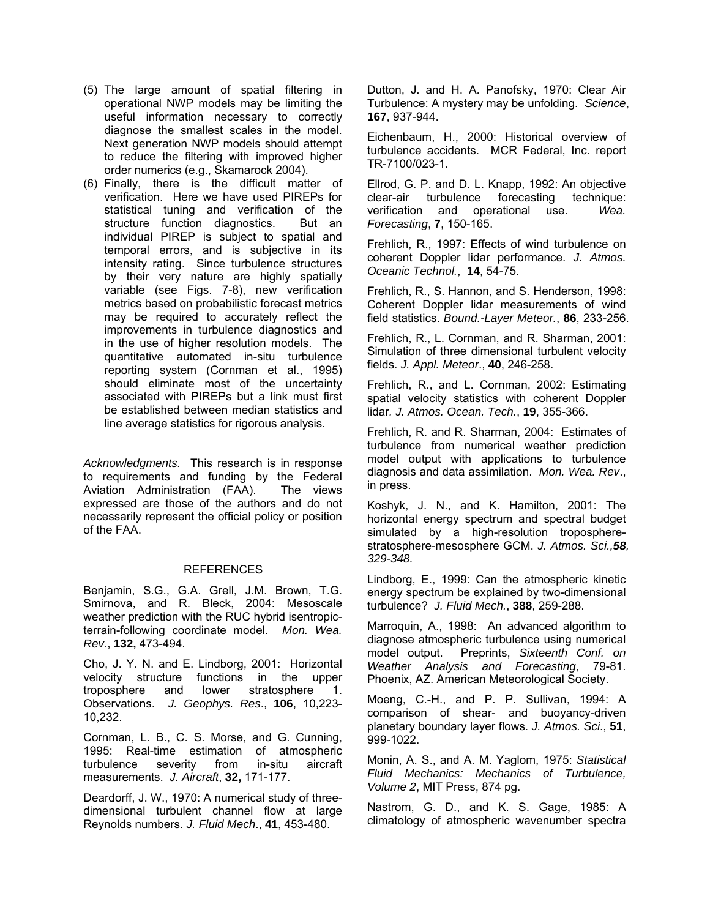- (5) The large amount of spatial filtering in operational NWP models may be limiting the useful information necessary to correctly diagnose the smallest scales in the model. Next generation NWP models should attempt to reduce the filtering with improved higher order numerics (e.g., Skamarock 2004).
- (6) Finally, there is the difficult matter of verification. Here we have used PIREPs for statistical tuning and verification of the structure function diagnostics. But an individual PIREP is subject to spatial and temporal errors, and is subjective in its intensity rating. Since turbulence structures by their very nature are highly spatially variable (see Figs. 7-8), new verification metrics based on probabilistic forecast metrics may be required to accurately reflect the improvements in turbulence diagnostics and in the use of higher resolution models. The quantitative automated in-situ turbulence reporting system (Cornman et al., 1995) should eliminate most of the uncertainty associated with PIREPs but a link must first be established between median statistics and line average statistics for rigorous analysis.

*Acknowledgments.* This research is in response to requirements and funding by the Federal Aviation Administration (FAA). The views expressed are those of the authors and do not necessarily represent the official policy or position of the FAA.

#### REFERENCES

Benjamin, S.G., G.A. Grell, J.M. Brown, T.G. Smirnova, and R. Bleck, 2004: Mesoscale weather prediction with the RUC hybrid isentropicterrain-following coordinate model. *Mon. Wea. Rev.*, **132,** 473-494.

Cho, J. Y. N. and E. Lindborg, 2001: Horizontal velocity structure functions in the upper troposphere and lower stratosphere 1. Observations. *J. Geophys. Res*., **106**, 10,223- 10,232.

Cornman, L. B., C. S. Morse, and G. Cunning, 1995: Real-time estimation of atmospheric turbulence severity from in-situ aircraft measurements. *J. Aircraft*, **32,** 171-177.

Deardorff, J. W., 1970: A numerical study of threedimensional turbulent channel flow at large Reynolds numbers. *J. Fluid Mech*., **41**, 453-480.

Dutton, J. and H. A. Panofsky, 1970: Clear Air Turbulence: A mystery may be unfolding. *Science*, **167**, 937-944.

Eichenbaum, H., 2000: Historical overview of turbulence accidents. MCR Federal, Inc. report TR-7100/023-1.

Ellrod, G. P. and D. L. Knapp, 1992: An objective clear-air turbulence forecasting technique: verification and operational use. *Wea. Forecasting*, **7**, 150-165.

Frehlich, R., 1997: Effects of wind turbulence on coherent Doppler lidar performance. *J. Atmos. Oceanic Technol.*, **14**, 54-75.

Frehlich, R., S. Hannon, and S. Henderson, 1998: Coherent Doppler lidar measurements of wind field statistics. *Bound.-Layer Meteor.*, **86**, 233-256.

Frehlich, R., L. Cornman, and R. Sharman, 2001: Simulation of three dimensional turbulent velocity fields. *J. Appl. Meteor*., **40**, 246-258.

Frehlich, R., and L. Cornman, 2002: Estimating spatial velocity statistics with coherent Doppler lidar*. J. Atmos. Ocean. Tech.*, **19**, 355-366.

Frehlich, R. and R. Sharman, 2004: Estimates of turbulence from numerical weather prediction model output with applications to turbulence diagnosis and data assimilation. *Mon. Wea. Rev*., in press.

Koshyk, J. N., and K. Hamilton, 2001: The horizontal energy spectrum and spectral budget simulated by a high-resolution tropospherestratosphere-mesosphere GCM. *J. Atmos. Sci.,58, 329-348.*

Lindborg, E., 1999: Can the atmospheric kinetic energy spectrum be explained by two-dimensional turbulence? *J. Fluid Mech.*, **388**, 259-288.

Marroquin, A., 1998: An advanced algorithm to diagnose atmospheric turbulence using numerical model output. Preprints, *Sixteenth Conf. on Weather Analysis and Forecasting*, 79-81. Phoenix, AZ. American Meteorological Society.

Moeng, C.-H., and P. P. Sullivan, 1994: A comparison of shear- and buoyancy-driven planetary boundary layer flows. *J. Atmos. Sci*., **51**, 999-1022.

Monin, A. S., and A. M. Yaglom, 1975: *Statistical Fluid Mechanics: Mechanics of Turbulence, Volume 2*, MIT Press, 874 pg.

Nastrom, G. D., and K. S. Gage, 1985: A climatology of atmospheric wavenumber spectra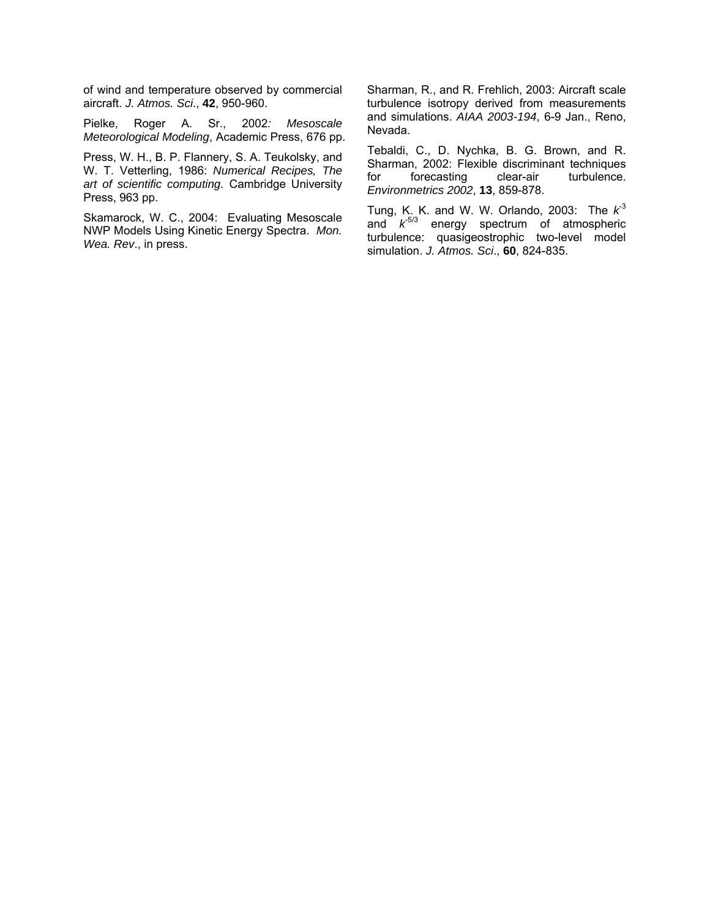of wind and temperature observed by commercial aircraft. *J. Atmos. Sci*., **42**, 950-960.

Pielke, Roger A. Sr., 2002*: Mesoscale Meteorological Modeling*, Academic Press, 676 pp.

Press, W. H., B. P. Flannery, S. A. Teukolsky, and W. T. Vetterling, 1986: *Numerical Recipes, The art of scientific computing.* Cambridge University Press, 963 pp.

Skamarock, W. C., 2004: Evaluating Mesoscale NWP Models Using Kinetic Energy Spectra. *Mon. Wea. Rev*., in press.

Sharman, R., and R. Frehlich, 2003: Aircraft scale turbulence isotropy derived from measurements and simulations. *AIAA 2003-194*, 6-9 Jan., Reno, Nevada.

Tebaldi, C., D. Nychka, B. G. Brown, and R. Sharman, 2002: Flexible discriminant techniques for forecasting clear-air turbulence. *Environmetrics 2002*, **13**, 859-878.

Tung, K. K. and W. W. Orlando, 2003: The  $k^3$ and  $k^{5/3}$  energy spectrum of atmospheric turbulence: quasigeostrophic two-level model simulation. *J. Atmos. Sci*., **60**, 824-835.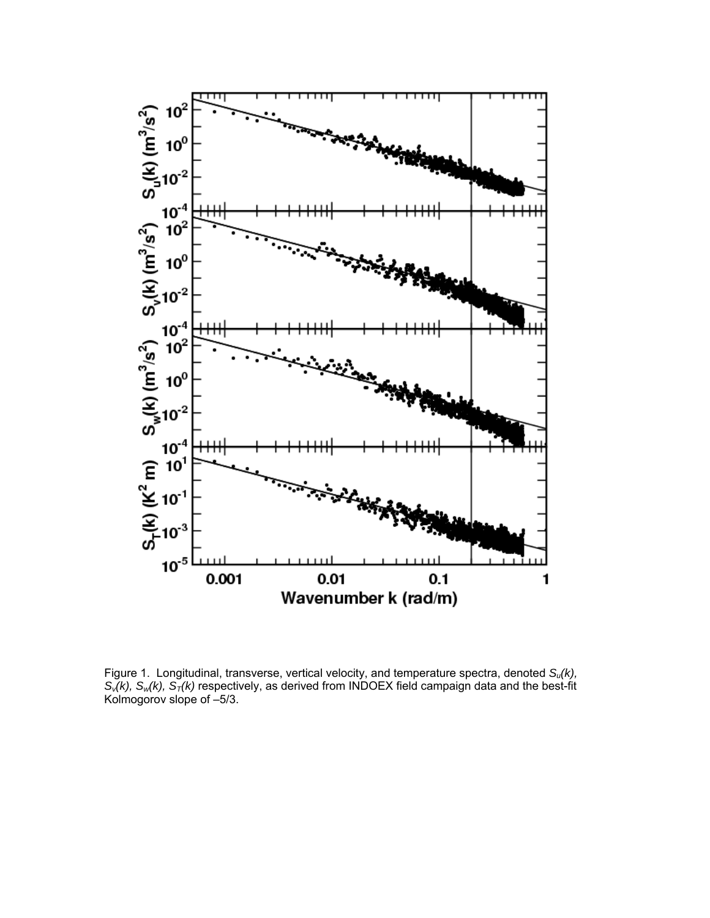

Figure 1. Longitudinal, transverse, vertical velocity, and temperature spectra, denoted S<sub>u</sub>(k),  $S_v(k)$ ,  $S_w(k)$ ,  $S_T(k)$  respectively, as derived from INDOEX field campaign data and the best-fit Kolmogorov slope of –5/3.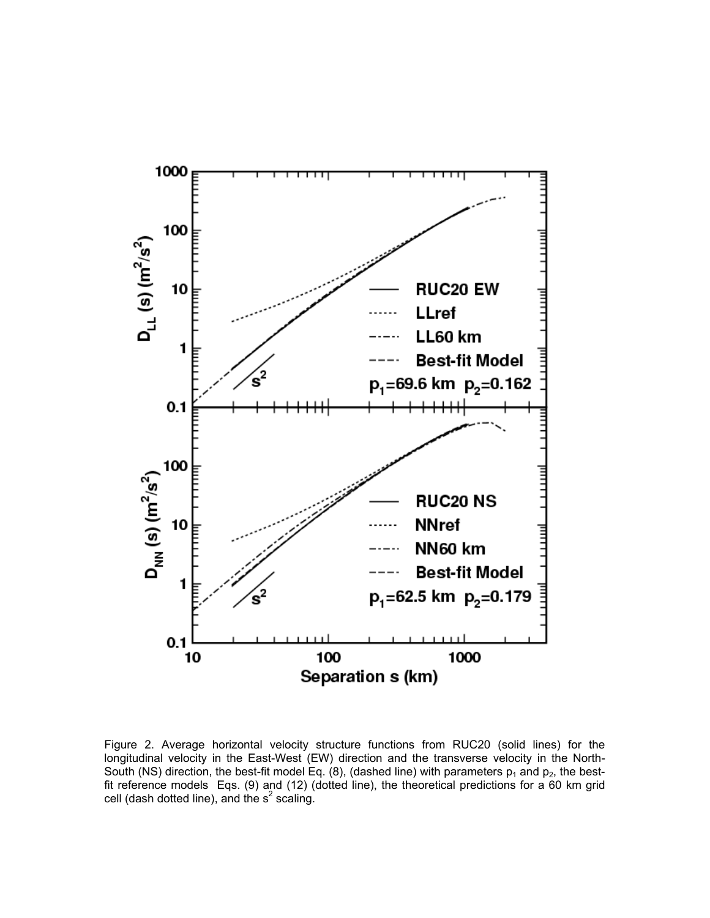

Figure 2. Average horizontal velocity structure functions from RUC20 (solid lines) for the longitudinal velocity in the East-West (EW) direction and the transverse velocity in the North-South (NS) direction, the best-fit model Eq. (8), (dashed line) with parameters  $p_1$  and  $p_2$ , the bestfit reference models Eqs. (9) and (12) (dotted line), the theoretical predictions for a 60 km grid cell (dash dotted line), and the  $s^2$  scaling.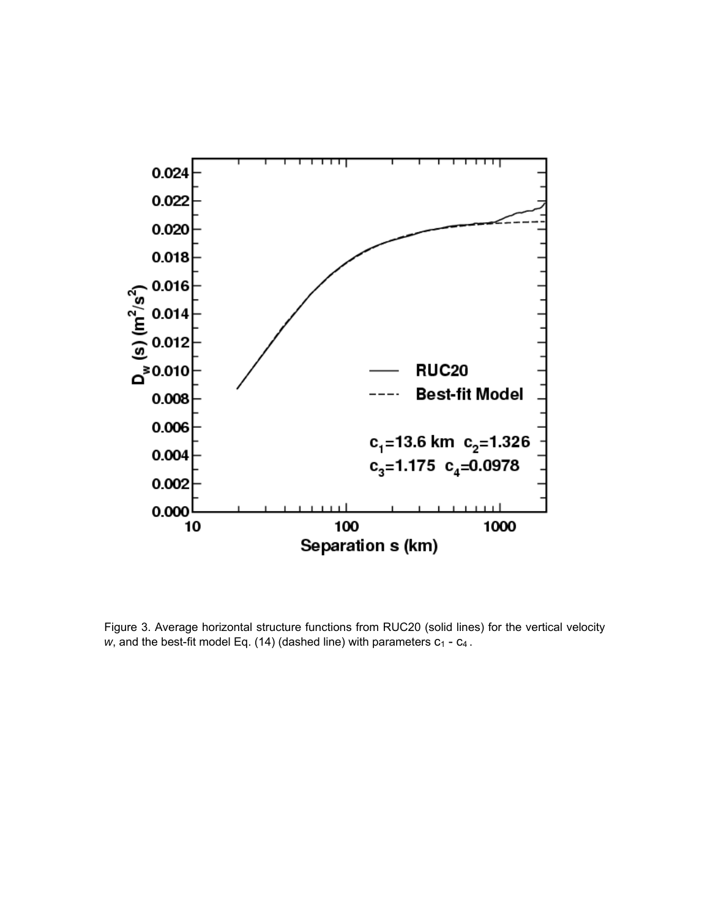

Figure 3. Average horizontal structure functions from RUC20 (solid lines) for the vertical velocity *w*, and the best-fit model Eq. (14) (dashed line) with parameters  $c_1 - c_4$ .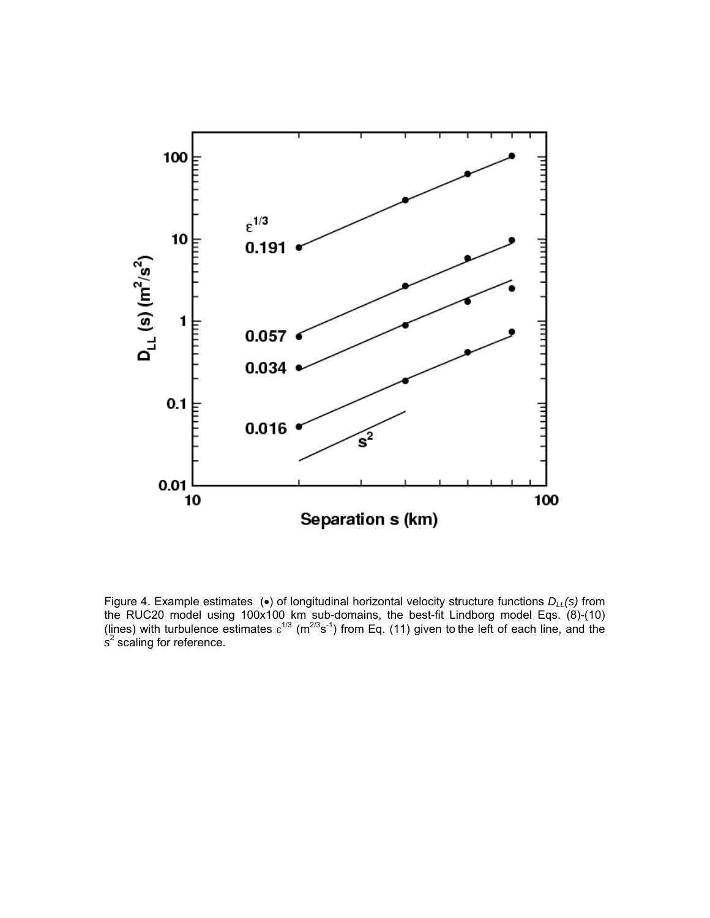

Figure 4. Example estimates (•) of longitudinal horizontal velocity structure functions *DLL(s)* from the RUC20 model using 100x100 km sub-domains, the best-fit Lindborg model Eqs. (8)-(10) (lines) with turbulence estimates  $\varepsilon^{1/3}$  (m<sup>2/3</sup>s<sup>-1</sup>) from Eq. (11) given to the left of each line, and the *s* 2 scaling for reference.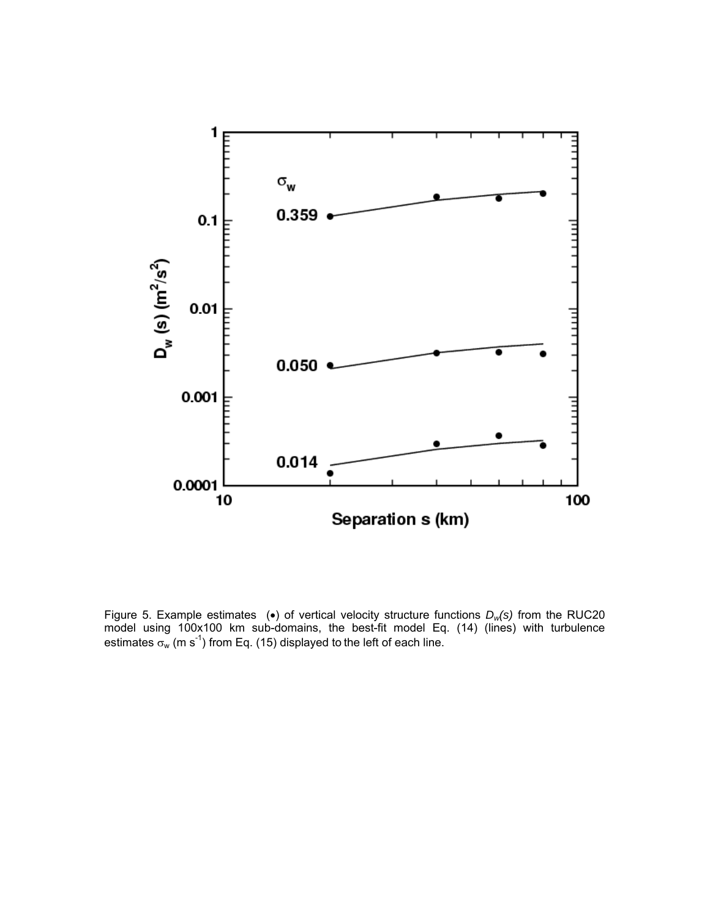

Figure 5. Example estimates (•) of vertical velocity structure functions *Dw(s)* from the RUC20 model using 100x100 km sub-domains, the best-fit model Eq. (14) (lines) with turbulence estimates  $\sigma_w$  (m s<sup>-1</sup>) from Eq. (15) displayed to the left of each line.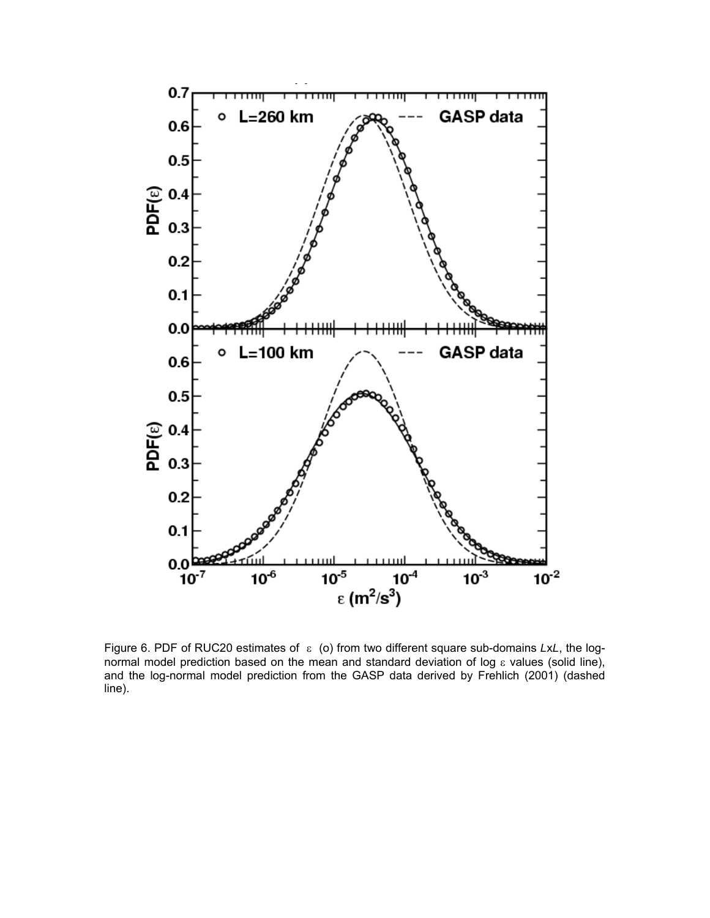

Figure 6. PDF of RUC20 estimates of ε (o) from two different square sub-domains *L*x*L*, the lognormal model prediction based on the mean and standard deviation of log ε values (solid line), and the log-normal model prediction from the GASP data derived by Frehlich (2001) (dashed line).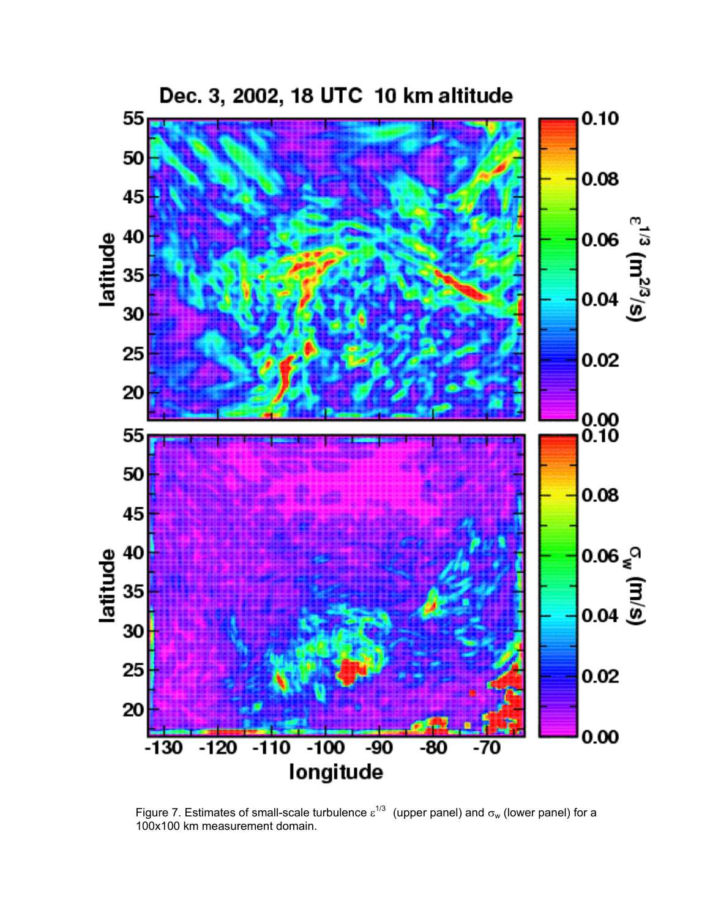

Figure 7. Estimates of small-scale turbulence  $\varepsilon^{1/3}$  (upper panel) and  $\sigma_w$  (lower panel) for a 100x100 km measurement domain.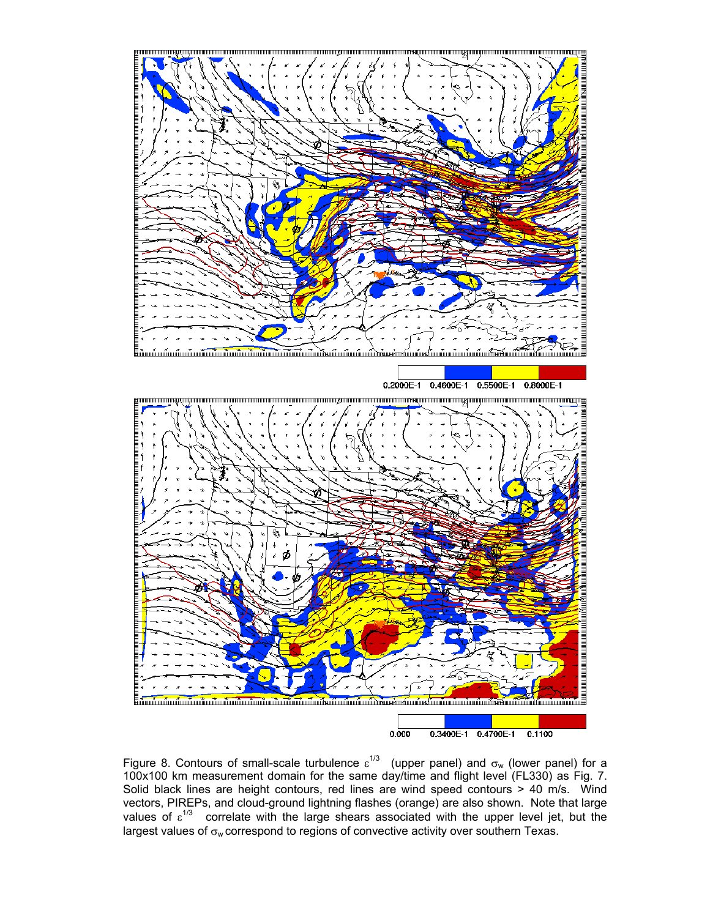

Figure 8. Contours of small-scale turbulence  $\varepsilon^{1/3}$  (upper panel) and  $\sigma_w$  (lower panel) for a 100x100 km measurement domain for the same day/time and flight level (FL330) as Fig. 7. Solid black lines are height contours, red lines are wind speed contours > 40 m/s. Wind vectors, PIREPs, and cloud-ground lightning flashes (orange) are also shown. Note that large values of  $\varepsilon^{1/3}$  correlate with the large shears associated with the upper level jet, but the largest values of  $\sigma_w$  correspond to regions of convective activity over southern Texas.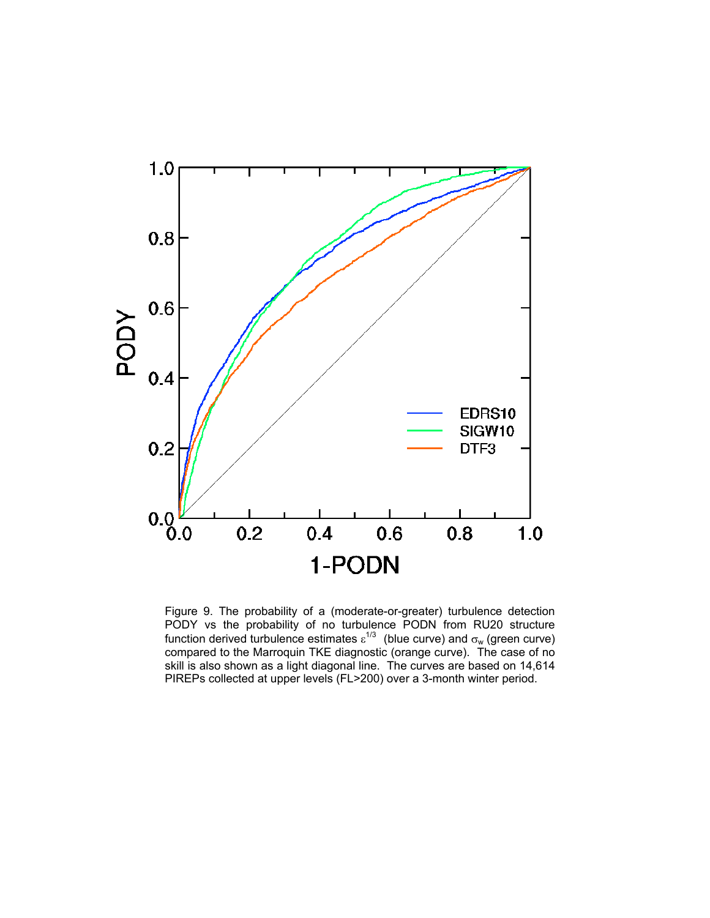

Figure 9. The probability of a (moderate-or-greater) turbulence detection PODY vs the probability of no turbulence PODN from RU20 structure function derived turbulence estimates  $\varepsilon^{1/3}$  (blue curve) and  $\sigma_w$  (green curve) compared to the Marroquin TKE diagnostic (orange curve). The case of no skill is also shown as a light diagonal line. The curves are based on 14,614 PIREPs collected at upper levels (FL>200) over a 3-month winter period.